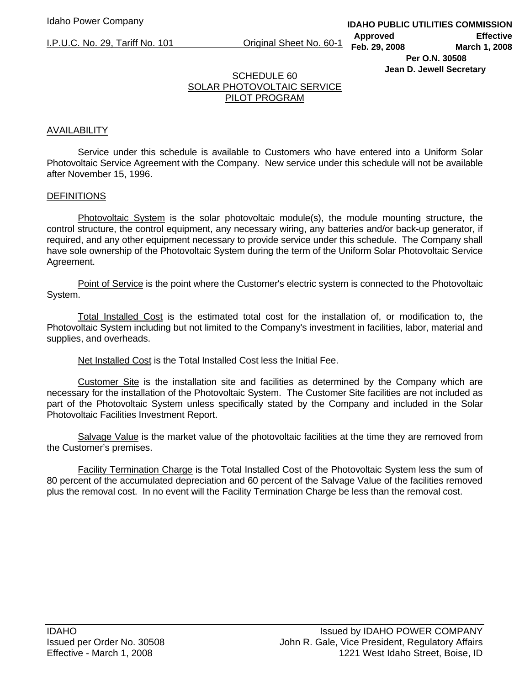# SCHEDULE 60 SOLAR PHOTOVOLTAIC SERVICE PILOT PROGRAM

# AVAILABILITY

 Service under this schedule is available to Customers who have entered into a Uniform Solar Photovoltaic Service Agreement with the Company. New service under this schedule will not be available after November 15, 1996.

### **DEFINITIONS**

Photovoltaic System is the solar photovoltaic module(s), the module mounting structure, the control structure, the control equipment, any necessary wiring, any batteries and/or back-up generator, if required, and any other equipment necessary to provide service under this schedule. The Company shall have sole ownership of the Photovoltaic System during the term of the Uniform Solar Photovoltaic Service Agreement.

 Point of Service is the point where the Customer's electric system is connected to the Photovoltaic System.

 Total Installed Cost is the estimated total cost for the installation of, or modification to, the Photovoltaic System including but not limited to the Company's investment in facilities, labor, material and supplies, and overheads.

Net Installed Cost is the Total Installed Cost less the Initial Fee.

 Customer Site is the installation site and facilities as determined by the Company which are necessary for the installation of the Photovoltaic System. The Customer Site facilities are not included as part of the Photovoltaic System unless specifically stated by the Company and included in the Solar Photovoltaic Facilities Investment Report.

 Salvage Value is the market value of the photovoltaic facilities at the time they are removed from the Customer's premises.

 Facility Termination Charge is the Total Installed Cost of the Photovoltaic System less the sum of 80 percent of the accumulated depreciation and 60 percent of the Salvage Value of the facilities removed plus the removal cost. In no event will the Facility Termination Charge be less than the removal cost.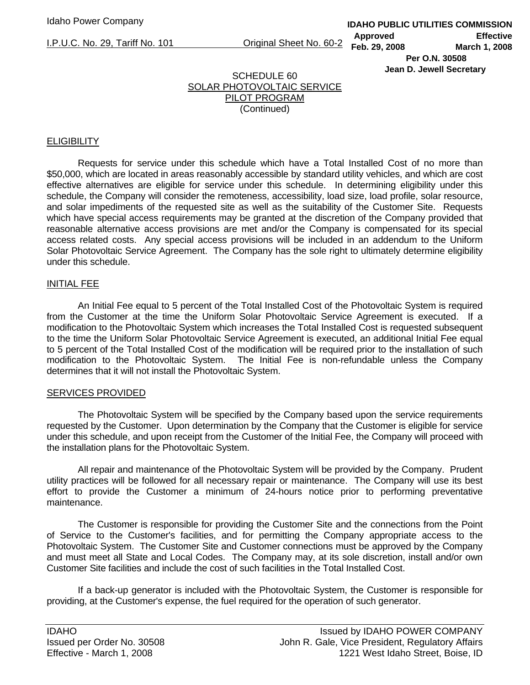# SCHEDULE 60 SOLAR PHOTOVOLTAIC SERVICE PILOT PROGRAM (Continued)

## **ELIGIBILITY**

 Requests for service under this schedule which have a Total Installed Cost of no more than \$50,000, which are located in areas reasonably accessible by standard utility vehicles, and which are cost effective alternatives are eligible for service under this schedule. In determining eligibility under this schedule, the Company will consider the remoteness, accessibility, load size, load profile, solar resource, and solar impediments of the requested site as well as the suitability of the Customer Site. Requests which have special access requirements may be granted at the discretion of the Company provided that reasonable alternative access provisions are met and/or the Company is compensated for its special access related costs. Any special access provisions will be included in an addendum to the Uniform Solar Photovoltaic Service Agreement. The Company has the sole right to ultimately determine eligibility under this schedule.

#### INITIAL FEE

 An Initial Fee equal to 5 percent of the Total Installed Cost of the Photovoltaic System is required from the Customer at the time the Uniform Solar Photovoltaic Service Agreement is executed. If a modification to the Photovoltaic System which increases the Total Installed Cost is requested subsequent to the time the Uniform Solar Photovoltaic Service Agreement is executed, an additional Initial Fee equal to 5 percent of the Total Installed Cost of the modification will be required prior to the installation of such modification to the Photovoltaic System. The Initial Fee is non-refundable unless the Company determines that it will not install the Photovoltaic System.

#### SERVICES PROVIDED

 The Photovoltaic System will be specified by the Company based upon the service requirements requested by the Customer. Upon determination by the Company that the Customer is eligible for service under this schedule, and upon receipt from the Customer of the Initial Fee, the Company will proceed with the installation plans for the Photovoltaic System.

 All repair and maintenance of the Photovoltaic System will be provided by the Company. Prudent utility practices will be followed for all necessary repair or maintenance. The Company will use its best effort to provide the Customer a minimum of 24-hours notice prior to performing preventative maintenance.

 The Customer is responsible for providing the Customer Site and the connections from the Point of Service to the Customer's facilities, and for permitting the Company appropriate access to the Photovoltaic System. The Customer Site and Customer connections must be approved by the Company and must meet all State and Local Codes. The Company may, at its sole discretion, install and/or own Customer Site facilities and include the cost of such facilities in the Total Installed Cost.

 If a back-up generator is included with the Photovoltaic System, the Customer is responsible for providing, at the Customer's expense, the fuel required for the operation of such generator.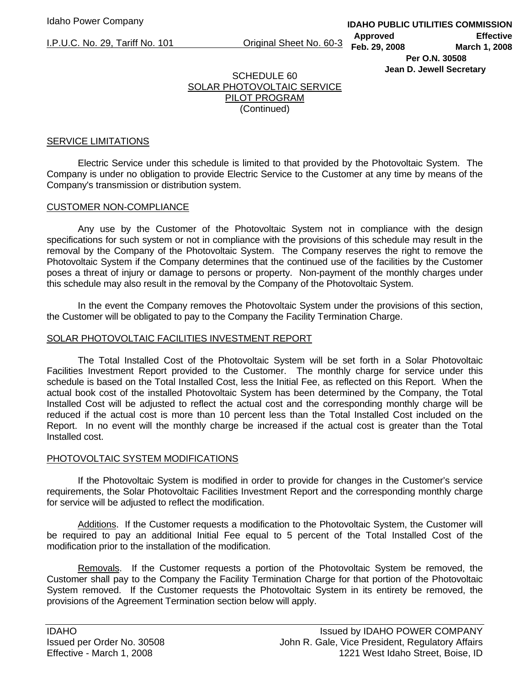**IDAHO PUBLIC UTILITIES COMMISSION Approved Effective Feb. 29, 2008 March 1, 2008 Per O.N. 30508** 

**Jean D. Jewell Secretary** 

# SCHEDULE 60 SOLAR PHOTOVOLTAIC SERVICE PILOT PROGRAM (Continued)

## SERVICE LIMITATIONS

 Electric Service under this schedule is limited to that provided by the Photovoltaic System. The Company is under no obligation to provide Electric Service to the Customer at any time by means of the Company's transmission or distribution system.

# CUSTOMER NON-COMPLIANCE

 Any use by the Customer of the Photovoltaic System not in compliance with the design specifications for such system or not in compliance with the provisions of this schedule may result in the removal by the Company of the Photovoltaic System. The Company reserves the right to remove the Photovoltaic System if the Company determines that the continued use of the facilities by the Customer poses a threat of injury or damage to persons or property. Non-payment of the monthly charges under this schedule may also result in the removal by the Company of the Photovoltaic System.

 In the event the Company removes the Photovoltaic System under the provisions of this section, the Customer will be obligated to pay to the Company the Facility Termination Charge.

# SOLAR PHOTOVOLTAIC FACILITIES INVESTMENT REPORT

 The Total Installed Cost of the Photovoltaic System will be set forth in a Solar Photovoltaic Facilities Investment Report provided to the Customer. The monthly charge for service under this schedule is based on the Total Installed Cost, less the Initial Fee, as reflected on this Report. When the actual book cost of the installed Photovoltaic System has been determined by the Company, the Total Installed Cost will be adjusted to reflect the actual cost and the corresponding monthly charge will be reduced if the actual cost is more than 10 percent less than the Total Installed Cost included on the Report. In no event will the monthly charge be increased if the actual cost is greater than the Total Installed cost.

### PHOTOVOLTAIC SYSTEM MODIFICATIONS

 If the Photovoltaic System is modified in order to provide for changes in the Customer's service requirements, the Solar Photovoltaic Facilities Investment Report and the corresponding monthly charge for service will be adjusted to reflect the modification.

 Additions. If the Customer requests a modification to the Photovoltaic System, the Customer will be required to pay an additional Initial Fee equal to 5 percent of the Total Installed Cost of the modification prior to the installation of the modification.

 Removals. If the Customer requests a portion of the Photovoltaic System be removed, the Customer shall pay to the Company the Facility Termination Charge for that portion of the Photovoltaic System removed. If the Customer requests the Photovoltaic System in its entirety be removed, the provisions of the Agreement Termination section below will apply.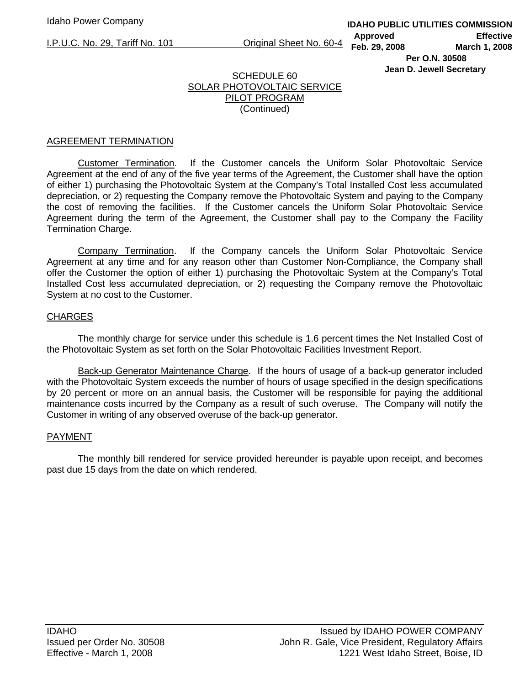# SCHEDULE 60 SOLAR PHOTOVOLTAIC SERVICE PILOT PROGRAM (Continued)

## AGREEMENT TERMINATION

 Customer Termination. If the Customer cancels the Uniform Solar Photovoltaic Service Agreement at the end of any of the five year terms of the Agreement, the Customer shall have the option of either 1) purchasing the Photovoltaic System at the Company's Total Installed Cost less accumulated depreciation, or 2) requesting the Company remove the Photovoltaic System and paying to the Company the cost of removing the facilities. If the Customer cancels the Uniform Solar Photovoltaic Service Agreement during the term of the Agreement, the Customer shall pay to the Company the Facility Termination Charge.

 Company Termination. If the Company cancels the Uniform Solar Photovoltaic Service Agreement at any time and for any reason other than Customer Non-Compliance, the Company shall offer the Customer the option of either 1) purchasing the Photovoltaic System at the Company's Total Installed Cost less accumulated depreciation, or 2) requesting the Company remove the Photovoltaic System at no cost to the Customer.

### **CHARGES**

 The monthly charge for service under this schedule is 1.6 percent times the Net Installed Cost of the Photovoltaic System as set forth on the Solar Photovoltaic Facilities Investment Report.

Back-up Generator Maintenance Charge. If the hours of usage of a back-up generator included with the Photovoltaic System exceeds the number of hours of usage specified in the design specifications by 20 percent or more on an annual basis, the Customer will be responsible for paying the additional maintenance costs incurred by the Company as a result of such overuse. The Company will notify the Customer in writing of any observed overuse of the back-up generator.

### PAYMENT

 The monthly bill rendered for service provided hereunder is payable upon receipt, and becomes past due 15 days from the date on which rendered.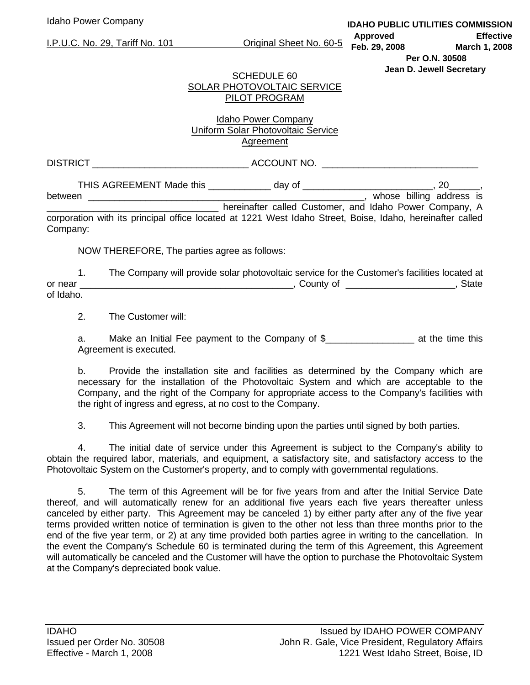# SCHEDULE 60 SOLAR PHOTOVOLTAIC SERVICE PILOT PROGRAM

# Idaho Power Company Uniform Solar Photovoltaic Service Agreement

DISTRICT ACCOUNT NO.

THIS AGREEMENT Made this \_\_\_\_\_\_\_\_\_\_\_\_\_\_ day of \_\_\_\_\_\_\_\_\_\_\_\_\_\_\_\_\_\_\_\_\_\_\_\_\_\_, 20\_\_\_\_\_\_\_, between \_\_\_\_\_\_\_\_\_\_\_\_\_\_\_\_\_\_\_\_\_\_\_\_\_\_\_\_\_\_\_\_\_\_\_\_\_\_\_\_\_\_\_\_\_\_\_\_\_\_\_\_\_, whose billing address is hereinafter called Customer, and Idaho Power Company, A

corporation with its principal office located at 1221 West Idaho Street, Boise, Idaho, hereinafter called Company:

NOW THEREFORE, The parties agree as follows:

 1. The Company will provide solar photovoltaic service for the Customer's facilities located at or near \_\_\_\_\_\_\_\_\_\_\_\_\_\_\_\_\_\_\_\_\_\_\_\_\_\_\_\_\_\_\_\_\_\_\_\_\_\_\_\_\_, County of \_\_\_\_\_\_\_\_\_\_\_\_\_\_\_\_\_\_\_\_\_, State of Idaho.

2. The Customer will:

 a. Make an Initial Fee payment to the Company of \$\_\_\_\_\_\_\_\_\_\_\_\_\_\_\_\_\_ at the time this Agreement is executed.

 b. Provide the installation site and facilities as determined by the Company which are necessary for the installation of the Photovoltaic System and which are acceptable to the Company, and the right of the Company for appropriate access to the Company's facilities with the right of ingress and egress, at no cost to the Company.

3. This Agreement will not become binding upon the parties until signed by both parties.

 4. The initial date of service under this Agreement is subject to the Company's ability to obtain the required labor, materials, and equipment, a satisfactory site, and satisfactory access to the Photovoltaic System on the Customer's property, and to comply with governmental regulations.

 5. The term of this Agreement will be for five years from and after the Initial Service Date thereof, and will automatically renew for an additional five years each five years thereafter unless canceled by either party. This Agreement may be canceled 1) by either party after any of the five year terms provided written notice of termination is given to the other not less than three months prior to the end of the five year term, or 2) at any time provided both parties agree in writing to the cancellation. In the event the Company's Schedule 60 is terminated during the term of this Agreement, this Agreement will automatically be canceled and the Customer will have the option to purchase the Photovoltaic System at the Company's depreciated book value.